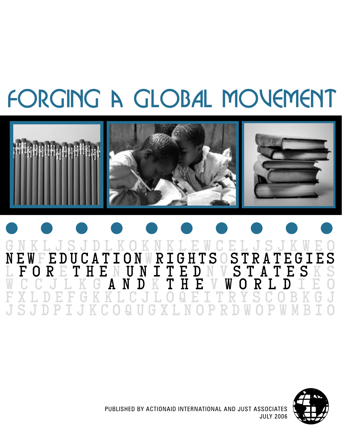# forging a GLOBAL MOVEMENT



# G N K L J S J D L K O K N K L E W C E L J S J K W E o N E W F E D U C A T I O N W R I G H T S O S T R A T E G I E S L F O R E T H E N U N I T E D N V S T A T E S K S W C c j l k g A N D K T H E V W O R L D i E o F x l D E F G K K L c j l O Q E I T R Y S C O B k g j J S J D P I J K C O Q U G X L N O P R D W O P W M B I o



PUBLISHED BY ACTIONAID INTERNATIONAL AND JUST ASSOCIATES JULY 2006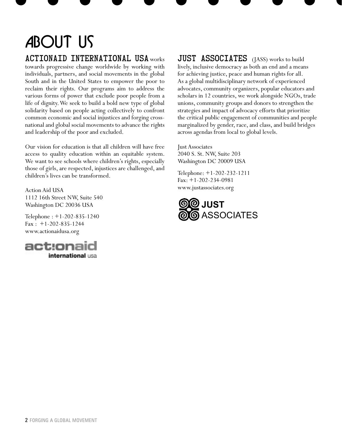# About Us

# ActionAid International USA works

towards progressive change worldwide by working with individuals, partners, and social movements in the global South and in the United States to empower the poor to reclaim their rights. Our programs aim to address the various forms of power that exclude poor people from a life of dignity. We seek to build a bold new type of global solidarity based on people acting collectively to confront common economic and social injustices and forging crossnational and global social movements to advance the rights and leadership of the poor and excluded.

Our vision for education is that all children will have free access to quality education within an equitable system. We want to see schools where children's rights, especially those of girls, are respected, injustices are challenged, and children's lives can be transformed.

Action Aid USA 1112 16th Street NW, Suite 540 Washington DC 20036 USA

Telephone : +1-202-835-1240  $Fax : +1-202-835-1244$ www.actionaidusa.org



## JUST ASSOCIATES (JASS) works to build lively, inclusive democracy as both an end and a means for achieving justice, peace and human rights for all. As a global multidisciplinary network of experienced advocates, community organizers, popular educators and scholars in 12 countries, we work alongside NGOs, trade unions, community groups and donors to strengthen the strategies and impact of advocacy efforts that prioritize the critical public engagement of communities and people marginalized by gender, race, and class, and build bridges across agendas from local to global levels.

Just Associates 2040 S. St. NW, Suite 203 Washington DC 20009 USA

Telephone: +1-202-232-1211 Fax: +1-202-234-0981 www.justassociates.org

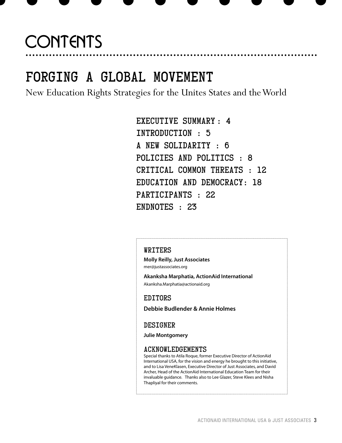# **CONTENTS**

# FORGING A GLOBAL MOVEMENT

New Education Rights Strategies for the Unites States and the World

Executive Summary : 4 Introduction : 5 A New Solidarity : 6 Policies and Politics : 8 Critical Common Threats : 12 Education and Democracy: 18 Participants : 22 ENDNOTES : 23

## WRITERS

**Molly Reilly, Just Associates**  mer@justassociates.org

**Akanksha Marphatia, ActionAid International**  Akanksha.Marphatia@actionaid.org

### EDITORS

**Debbie Budlender & Annie Holmes** 

## DESIGNER

**Julie Montgomery**

### ACKNOWLEDGEMENTS

Special thanks to Atila Roque, former Executive Director of ActionAid International USA, for the vision and energy he brought to this initiative, and to Lisa VeneKlasen, Executive Director of Just Associates, and David Archer, Head of the ActionAid International Education Team for their invaluable guidance. Thanks also to Lee Glazer, Steve Klees and Nisha Thapliyal for their comments.

. . . . . . . . . . . . .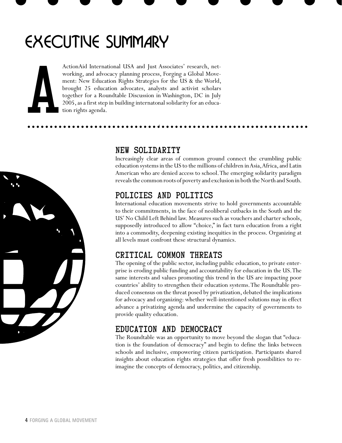# EXECUTIVE SUMMARY

ActionAid International USA and Just Associates' research, networking, and advocacy planning process, Forging a Global Movement: New Education Rights Strategies for the US & the World, brought 25 education advocates, analysts and activist scholars together for a Roundtable Discussion in Washington, DC in July 2005, as a first step in building internatonal solidarity for an educa-Action Aid Internat<br>working, and advoc<br>ment: New Educat<br>brought 25 educat<br>together for a Rou<br>2005, as a first step<br>tion rights agenda.



# New Solidarity

Increasingly clear areas of common ground connect the crumbling public education systems in the US to the millions of children in Asia, Africa, and Latin American who are denied access to school. The emerging solidarity paradigm reveals the common roots of poverty and exclusion in both the North and South.

# Policies and Politics

International education movements strive to hold governments accountable to their commitments, in the face of neoliberal cutbacks in the South and the US' No Child Left Behind law. Measures such as vouchers and charter schools, supposedly introduced to allow "choice," in fact turn education from a right into a commodity, deepening existing inequities in the process. Organizing at all levels must confront these structural dynamics.

# Critical Common Threats

The opening of the public sector, including public education, to private enterprise is eroding public funding and accountability for education in the US. The same interests and values promoting this trend in the US are impacting poor countries' ability to strengthen their education systems. The Roundtable produced consensus on the threat posed by privatization, debated the implications for advocacy and organizing: whether well-intentioned solutions may in effect advance a privatizing agenda and undermine the capacity of governments to provide quality education.

# Education and Democracy

The Roundtable was an opportunity to move beyond the slogan that "education is the foundation of democracy" and begin to define the links between schools and inclusive, empowering citizen participation. Participants shared insights about education rights strategies that offer fresh possibilities to reimagine the concepts of democracy, politics, and citizenship.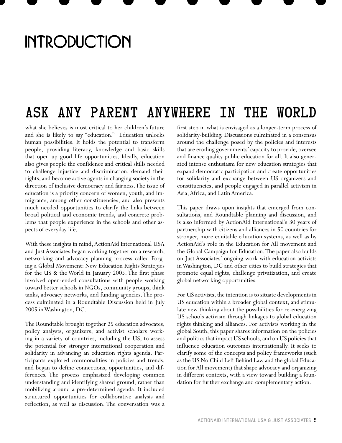# **INTRODUCTION**

# Ask any parent anywhere in the world

what she believes is most critical to her children's future and she is likely to say "education." Education unlocks human possibilities. It holds the potential to transform people, providing literacy, knowledge and basic skills that open up good life opportunities. Ideally, education also gives people the confidence and critical skills needed to challenge injustice and discrimination, demand their rights, and become active agents in changing society in the direction of inclusive democracy and fairness. The issue of education is a priority concern of women, youth, and immigrants, among other constituencies, and also presents much needed opportunities to clarify the links between broad political and economic trends, and concrete problems that people experience in the schools and other aspects of everyday life.

With these insights in mind, ActionAid International USA and Just Associates began working together on a research, networking and advocacy planning process called Forging a Global Movement: New Education Rights Strategies for the US & the World in January 2005. The first phase involved open-ended consultations with people working toward better schools in NGOs, community groups, think tanks, advocacy networks, and funding agencies. The process culminated in a Roundtable Discussion held in July 2005 in Washington, DC.

The Roundtable brought together 25 education advocates, policy analysts, organizers, and activist scholars working in a variety of countries, including the US, to assess the potential for stronger international cooperation and solidarity in advancing an education rights agenda. Participants explored commonalities in policies and trends, and began to define connections, opportunities, and differences. The process emphasized developing common understanding and identifying shared ground, rather than mobilizing around a pre-determined agenda. It included structured opportunities for collaborative analysis and reflection, as well as discussion. The conversation was a

first step in what is envisaged as a longer-term process of solidarity-building. Discussions culminated in a consensus around the challenge posed by the policies and interests that are eroding governments' capacity to provide, oversee and finance quality public education for all. It also generated intense enthusiasm for new education strategies that expand democratic participation and create opportunities for solidarity and exchange between US organizers and constituencies, and people engaged in parallel activism in Asia, Africa, and Latin America.

This paper draws upon insights that emerged from consultations, and Roundtable planning and discussion, and is also informed by ActionAid International's 30 years of partnership with citizens and alliances in 50 countries for stronger, more equitable education systems, as well as by ActionAid's role in the Education for All movement and the Global Campaign for Education. The paper also builds on Just Associates' ongoing work with education activists in Washington, DC and other cities to build strategies that promote equal rights, challenge privatization, and create global networking opportunities.

For US activists, the intention is to situate developments in US education within a broader global context, and stimulate new thinking about the possibilities for re-energizing US schools activism through linkages to global education rights thinking and alliances. For activists working in the global South, this paper shares information on the policies and politics that impact US schools, and on US policies that influence education outcomes internationally. It seeks to clarify some of the concepts and policy frameworks (such as the US No Child Left Behind Law and the global Education for All movement) that shape advocacy and organizing in different contexts, with a view toward building a foundation for further exchange and complementary action.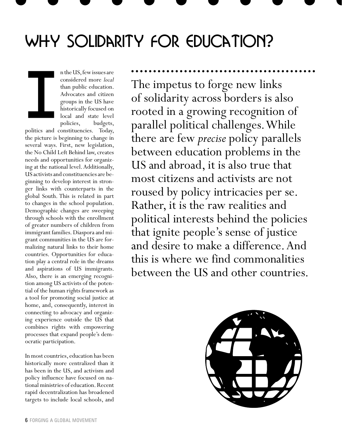# WHY SOLIDARITY FOR EDUCATION?

n the US, few issues are considered more *local*  than public education. Advocates and citizen groups in the US have historically focused on local and state level policies, budgets, I

politics and constituencies. Today, the picture is beginning to change in several ways. First, new legislation, the No Child Left Behind law, creates needs and opportunities for organizing at the national level. Additionally, US activists and constituencies are beginning to develop interest in stronger links with counterparts in the global South. This is related in part to changes in the school population. Demographic changes are sweeping through schools with the enrollment of greater numbers of children from immigrant families. Diaspora and migrant communities in the US are formalizing natural links to their home countries. Opportunities for education play a central role in the dreams and aspirations of US immigrants. Also, there is an emerging recognition among US activists of the potential of the human rights framework as a tool for promoting social justice at home, and, consequently, interest in connecting to advocacy and organizing experience outside the US that combines rights with empowering processes that expand people's democratic participation.

In most countries, education has been historically more centralized than it has been in the US, and activism and policy influence have focused on national ministries of education. Recent rapid decentralization has broadened targets to include local schools, and The impetus to forge new links of solidarity across borders is also rooted in a growing recognition of parallel political challenges. While there are few *precise* policy parallels between education problems in the US and abroad, it is also true that most citizens and activists are not roused by policy intricacies per se. Rather, it is the raw realities and political interests behind the policies that ignite people's sense of justice and desire to make a difference. And this is where we find commonalities between the US and other countries.

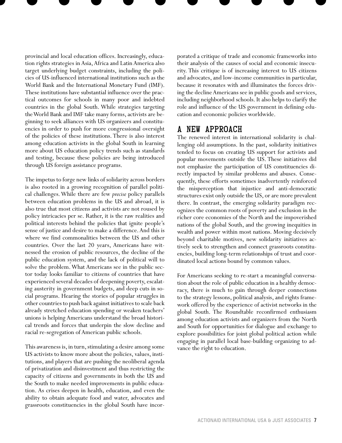provincial and local education offices. Increasingly, education rights strategies in Asia, Africa and Latin America also target underlying budget constraints, including the policies of US-influenced international institutions such as the World Bank and the International Monetary Fund (IMF). These institutions have substantial influence over the practical outcomes for schools in many poor and indebted countries in the global South. While strategies targeting the World Bank and IMF take many forms, activists are beginning to seek alliances with US organizers and constituencies in order to push for more congressional oversight of the policies of these institutions. There is also interest among education activists in the global South in learning more about US education policy trends such as standards and testing, because these policies are being introduced through US foreign assistance programs.

The impetus to forge new links of solidarity across borders is also rooted in a growing recognition of parallel political challenges. While there are few *precise* policy parallels between education problems in the US and abroad, it is also true that most citizens and activists are not roused by policy intricacies per se. Rather, it is the raw realities and political interests behind the policies that ignite people's sense of justice and desire to make a difference. And this is where we find commonalities between the US and other countries. Over the last 20 years, Americans have witnessed the erosion of public resources, the decline of the public education system, and the lack of political will to solve the problem. What Americans see in the public sector today looks familiar to citizens of countries that have experienced several decades of deepening poverty, escalating austerity in government budgets, and deep cuts in social programs. Hearing the stories of popular struggles in other countries to push back against initiatives to scale back already stretched education spending or weaken teachers' unions is helping Americans understand the broad historical trends and forces that underpin the slow decline and racial re-segregation of American public schools.

This awareness is, in turn, stimulating a desire among some US activists to know more about the policies, values, institutions, and players that are pushing the neoliberal agenda of privatization and disinvestment and thus restricting the capacity of citizens and governments in both the US and the South to make needed improvements in public education. As crises deepen in health, education, and even the ability to obtain adequate food and water, advocates and grassroots constituencies in the global South have incor-

porated a critique of trade and economic frameworks into their analysis of the causes of social and economic insecurity. This critique is of increasing interest to US citizens and advocates, and low-income communities in particular, because it resonates with and illuminates the forces driving the decline Americans see in public goods and services, including neighborhood schools. It also helps to clarify the role and influence of the US government in defining education and economic policies worldwide.

## A New Approach

The renewed interest in international solidarity is challenging old assumptions. In the past, solidarity initiatives tended to focus on creating US support for activists and popular movements outside the US. These initiatives did not emphasize the participation of US constituencies directly impacted by similar problems and abuses. Consequently, these efforts sometimes inadvertently reinforced the misperception that injustice and anti-democratic structures exist only outside the US, or are more prevalent there. In contrast, the emerging solidarity paradigm recognizes the common roots of poverty and exclusion in the richer core economies of the North and the impoverished nations of the global South, and the growing inequities in wealth and power within most nations. Moving decisively beyond charitable motives, new solidarity initiatives actively seek to strengthen and connect grassroots constituencies, building long-term relationships of trust and coordinated local actions bound by common values.

For Americans seeking to re-start a meaningful conversation about the role of public education in a healthy democracy, there is much to gain through deeper connections to the strategy lessons, political analysis, and rights framework offered by the experience of activist networks in the global South. The Roundtable reconfirmed enthusiasm among education activists and organizers from the North and South for opportunities for dialogue and exchange to explore possibilities for joint global political action while engaging in parallel local base-building organizing to advance the right to education.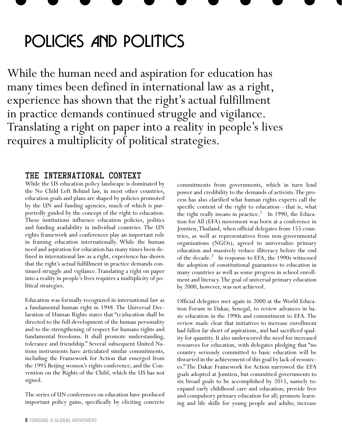# POLICIES AND POLITICS

While the human need and aspiration for education has many times been defined in international law as a right, experience has shown that the right's actual fulfillment in practice demands continued struggle and vigilance. Translating a right on paper into a reality in people's lives requires a multiplicity of political strategies.

## The International Context

While the US education policy landscape is dominated by the No Child Left Behind law, in most other countries, education goals and plans are shaped by policies promoted by the UN and funding agencies, much of which is purportedly guided by the concept of the right to education. These institutions influence education policies, politics and funding availability in individual countries. The UN rights framework and conferences play an important role in framing education internationally. While the human need and aspiration for education has many times been defined in international law as a right, experience has shown that the right's actual fulfillment in practice demands continued struggle and vigilance. Translating a right on paper into a reality in people's lives requires a multiplicity of political strategies.

Education was formally recognized in international law as a fundamental human right in 1948. The Universal Declaration of Human Rights states that "(e)ducation shall be directed to the full development of the human personality and to the strengthening of respect for humans rights and fundamental freedoms. It shall promote understanding, tolerance and friendship." Several subsequent United Nations instruments have articulated similar commitments, including the Framework for Action that emerged from the 1995 Beijing women's rights conference, and the Convention on the Rights of the Child, which the US has not signed.

The series of UN conferences on education have produced important policy gains, specifically by eliciting concrete

commitments from governments, which in turn lend power and credibility to the demands of activists. The process has also clarified what human rights experts call the specific content of the right to education—that is, what the right really means in practice.<sup>1</sup> In 1990, the Education for All (EFA) movement was born at a conference in Jomtien, Thailand, when official delegates from 155 countries, as well as representatives from non-governmental organizations (NGOs), agreed to universalize primary education and massively reduce illiteracy before the end of the decade.<sup>2</sup> In response to EFA, the 1990s witnessed the adoption of constitutional guarantees to education in many countries as well as some progress in school enrollment and literacy. The goal of universal primary education by 2000, however, was not achieved.

Official delegates met again in 2000 at the World Education Forum in Dakar, Senegal, to review advances in basic education in the 1990s and commitment to EFA. The review made clear that initiatives to increase enrollment had fallen far short of aspirations, and had sacrificed quality for quantity. It also underscored the need for increased resources for education, with delegates pledging that "no country seriously committed to basic education will be thwarted in the achievement of this goal by lack of resources." The Dakar Framework for Action narrowed the EFA goals adopted at Jomtien, but committed governments to six broad goals to be accomplished by 2015, namely to: expand early childhood care and education; provide free and compulsory primary education for all; promote learning and life skills for young people and adults; increase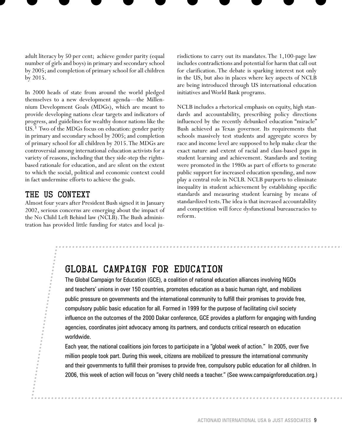adult literacy by 50 per cent; achieve gender parity (equal number of girls and boys) in primary and secondary school by 2005; and completion of primary school for all children by 2015.

In 2000 heads of state from around the world pledged themselves to a new development agenda—the Millennium Development Goals (MDGs), which are meant to provide developing nations clear targets and indicators of progress, and guidelines for wealthy donor nations like the US.3 Two of the MDGs focus on education: gender parity in primary and secondary school by 2005; and completion of primary school for all children by 2015. The MDGs are controversial among international education activists for a variety of reasons, including that they side-step the rightsbased rationale for education, and are silent on the extent to which the social, political and economic context could in fact undermine efforts to achieve the goals.

## The US Context

Almost four years after President Bush signed it in January 2002, serious concerns are emerging about the impact of the No Child Left Behind law (NCLB). The Bush administration has provided little funding for states and local jurisdictions to carry out its mandates. The 1,100-page law includes contradictions and potential for harm that call out for clarification. The debate is sparking interest not only in the US, but also in places where key aspects of NCLB are being introduced through US international education initiatives and World Bank programs.

NCLB includes a rhetorical emphasis on equity, high standards and accountability, prescribing policy directions influenced by the recently debunked education "miracle" Bush achieved as Texas governor. Its requirements that schools massively test students and aggregate scores by race and income level are supposed to help make clear the exact nature and extent of racial and class-based gaps in student learning and achievement. Standards and testing were promoted in the 1980s as part of efforts to generate public support for increased education spending, and now play a central role in NCLB. NCLB purports to eliminate inequality in student achievement by establishing specific standards and measuring student learning by means of standardized tests. The idea is that increased accountability and competition will force dysfunctional bureaucracies to reform.

# GLOBAL CAMPAIGN FOR EDUCATION

The Global Campaign for Education (GCE), a coalition of national education alliances involving NGOs and teachers' unions in over 150 countries, promotes education as a basic human right, and mobilizes public pressure on governments and the international community to fulfill their promises to provide free, compulsory public basic education for all. Formed in 1999 for the purpose of facilitating civil society influence on the outcomes of the 2000 Dakar conference, GCE provides a platform for engaging with funding agencies, coordinates joint advocacy among its partners, and conducts critical research on education worldwide.

Each year, the national coalitions join forces to participate in a "global week of action." In 2005, over five million people took part. During this week, citizens are mobilized to pressure the international community and their governments to fulfill their promises to provide free, compulsory public education for all children. In 2006, this week of action will focus on "every child needs a teacher." (See www.campaignforeducation.org.)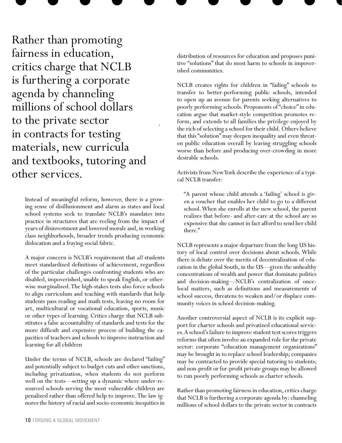Rather than promoting fairness in education, critics charge that NCLB is furthering a corporate agenda by channeling millions of school dollars to the private sector in contracts for testing materials, new curricula and textbooks, tutoring and other services.

> Instead of meaningful reform, however, there is a growing sense of disillusionment and alarm as states and local school systems seek to translate NCLB's mandates into practice in structures that are reeling from the impact of years of disinvestment and lowered morale and, in working class neighborhoods, broader trends producing economic dislocation and a fraying social fabric.

> A major concern is NCLB's requirement that *all* students meet standardized definitions of achievement, regardless of the particular challenges confronting students who are disabled, impoverished, unable to speak English, or otherwise marginalized. The high-stakes tests also force schools to align curriculum and teaching with standards that help students pass reading and math tests, leaving no room for art, multicultural or vocational education, sports, music or other types of learning. Critics charge that NCLB substitutes a false accountability of standards and tests for the more difficult and expensive process of building the capacities of teachers and schools to improve instruction and learning for all children

> Under the terms of NCLB, schools are declared "failing" and potentially subject to budget cuts and other sanctions, including privatization, when students do not perform well on the tests—setting up a dynamic where under-resourced schools serving the most vulnerable children are penalized rather than offered help to improve. The law ignores the history of racial and socio-economic inequities in

distribution of resources for education and proposes punitive "solutions" that do most harm to schools in impoverished communities.

NCLB creates rights for children in "failing" schools to transfer to better-performing public schools, intended to open up an avenue for parents seeking alternatives to poorly performing schools. Proponents of "choice" in education argue that market-style competition promotes reform, and extends to all families the privilege enjoyed by the rich of selecting a school for their child. Others believe that this "solution" may deepen inequality and even threaten public education overall by leaving struggling schools worse than before and producing over-crowding in more desirable schools.

Activists from New York describe the experience of a typical NCLB transfer:

"A parent whose child attends a 'failing' school is given a voucher that enables her child to go to a different school. When she enrolls at the new school, the parent realizes that before- and after-care at the school are so expensive that she cannot in fact afford to send her child there."

NCLB represents a major departure from the long US history of local control over decisions about schools. While there is debate over the merits of decentralization of education in the global South, in the US—given the unhealthy concentrations of wealth and power that dominate politics and decision-making—NCLB's centralization of oncelocal matters, such as definitions and measurements of school success, threatens to weaken and/or displace community voices in school decision-making.

Another controversial aspect of NCLB is its explicit support for charter schools and privatized educational services. A school's failure to improve student test scores triggers reforms that often involve an expanded role for the private sector: corporate "education management organizations" may be brought in to replace school leadership; companies may be contracted to provide special tutoring to students; and non-profit or for-profit private groups may be allowed to run poorly performing schools as charter schools.

Rather than promoting fairness in education, critics charge that NCLB is furthering a corporate agenda by: channeling millions of school dollars to the private sector in contracts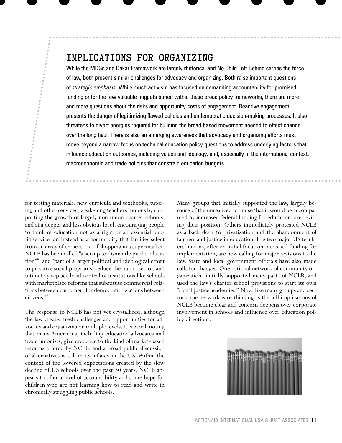# IMPLICATIONS FOR ORGANIZING

While the MDGs and Dakar Framework are largely rhetorical and No Child Left Behind carries the force of law, both present similar challenges for advocacy and organizing. Both raise important questions of *strategic emphasis*. While much activism has focused on demanding accountability for promised funding or for the few valuable nuggets buried within these broad policy frameworks, there are more and more questions about the risks and opportunity costs of engagement. Reactive engagement presents the danger of legitimizing flawed policies and undemocratic decision-making processes. It also threatens to divert energies required for building the broad-based movement needed to effect change over the long haul. There is also an emerging awareness that advocacy and organizing efforts must move beyond a narrow focus on technical education policy questions to address underlying factors that influence education outcomes, including values and ideology, and, especially in the international context, macroeconomic and trade policies that constrain education budgets.

for testing materials, new curricula and textbooks, tutoring and other services; weakening teachers' unions by supporting the growth of largely non-union charter schools; and at a deeper and less obvious level, encouraging people to think of education not as a right or an essential public service but instead as a commodity that families select from an array of choices—as if shopping in a supermarket. NCLB has been called "a set-up to dismantle public education"4 and "part of a larger political and ideological effort to privatize social programs, reduce the public sector, and ultimately replace local control of institutions like schools with marketplace reforms that substitute commercial relations between customers for democratic relations between citizens."5

The response to NCLB has not yet crystallized, although the law creates fresh challenges and opportunities for advocacy and organizing on multiple levels. It is worth noting that many Americans, including education advocates and trade unionists, give credence to the kind of market-based reforms offered by NCLB, and a broad public discussion of alternatives is still in its infancy in the US. Within the context of the lowered expectations created by the slow decline of US schools over the past 30 years, NCLB appears to offer a level of accountability and some hope for children who are not learning how to read and write in chronically struggling public schools.

Many groups that initially supported the law, largely because of the unrealized promise that it would be accompanied by increased federal funding for education, are revising their position. Others immediately protested NCLB as a back door to privatization and the abandonment of fairness and justice in education. The two major US teachers' unions, after an initial focus on increased funding for implementation, are now calling for major revisions to the law. State and local government officials have also made calls for changes. One national network of community organizations initially supported many parts of NCLB, and used the law's charter school provisions to start its own "social justice academies." Now, like many groups and sectors, the network is re-thinking as the full implications of NCLB become clear and concern deepens over corporate involvement in schools and influence over education policy directions.

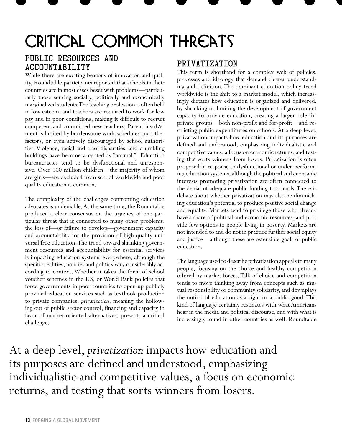# CRITICAL COMMON THREATS

# Public Resources and Accountability

While there are exciting beacons of innovation and quality, Roundtable participants reported that schools in their countries are in most cases beset with problems—particularly those serving socially, politically and economically marginalized students. The teaching profession is often held in low esteem, and teachers are required to work for low pay and in poor conditions, making it difficult to recruit competent and committed new teachers. Parent involvement is limited by burdensome work schedules and other factors, or even actively discouraged by school authorities. Violence, racial and class disparities, and crumbling buildings have become accepted as "normal." Education bureaucracies tend to be dysfunctional and unresponsive. Over 100 million children—the majority of whom are girls—are excluded from school worldwide and poor quality education is common.

The complexity of the challenges confronting education advocates is undeniable. At the same time, the Roundtable produced a clear consensus on the urgency of one particular threat that is connected to many other problems: the loss of—or failure to develop—government capacity and accountability for the provision of high-quality universal free education. The trend toward shrinking government resources and accountability for essential services is impacting education systems everywhere, although the specific realities, policies and politics vary considerably according to context. Whether it takes the form of school voucher schemes in the US, or World Bank policies that force governments in poor countries to open up publicly provided education services such as textbook production to private companies, *privatization*, meaning the hollowing out of public sector control, financing and capacity in favor of market-oriented alternatives, presents a critical challenge.

# Privatization

This term is shorthand for a complex web of policies, processes and ideology that demand clearer understanding and definition. The dominant education policy trend worldwide is the shift to a market model, which increasingly dictates how education is organized and delivered, by shrinking or limiting the development of government capacity to provide education, creating a larger role for private groups—both non-profit and for-profit—and restricting public expenditures on schools. At a deep level, privatization impacts how education and its purposes are defined and understood, emphasizing individualistic and competitive values, a focus on economic returns, and testing that sorts winners from losers. Privatization is often proposed in response to dysfunctional or under-performing education systems, although the political and economic interests promoting privatization are often connected to the denial of adequate public funding to schools. There is debate about whether privatization may also be diminishing education's potential to produce positive social change and equality. Markets tend to privilege those who already have a share of political and economic resources, and provide few options to people living in poverty. Markets are not intended to and do not in practice further social equity and justice—although these are ostensible goals of public education.

The language used to describe privatization appeals to many people, focusing on the choice and healthy competition offered by market forces. Talk of choice and competition tends to move thinking away from concepts such as mutual responsibility or community solidarity, and downplays the notion of education as a right or a public good. This kind of language certainly resonates with what Americans hear in the media and political discourse, and with what is increasingly found in other countries as well. Roundtable

At a deep level, *privatization* impacts how education and its purposes are defined and understood, emphasizing individualistic and competitive values, a focus on economic returns, and testing that sorts winners from losers.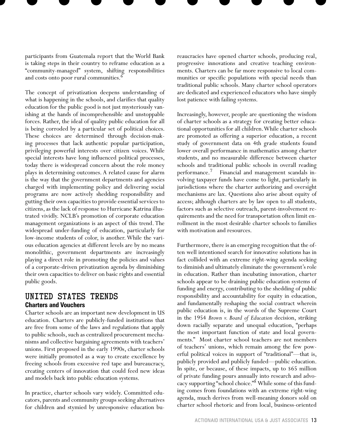participants from Guatemala report that the World Bank is taking steps in their country to reframe education as a "community-managed" system, shifting responsibilities and costs onto poor rural communities.<sup>6</sup>

The concept of privatization deepens understanding of what is happening in the schools, and clarifies that quality education for the public good is not just mysteriously vanishing at the hands of incomprehensible and unstoppable forces. Rather, the ideal of quality public education for all is being corroded by a particular set of political choices. These choices are determined through decision-making processes that lack authentic popular participation, privileging powerful interests over citizen voices. While special interests have long influenced political processes, today there is widespread concern about the role money plays in determining outcomes. A related cause for alarm is the way that the government departments and agencies charged with implementing policy and delivering social programs are now actively shedding responsibility and gutting their own capacities to provide essential services to citizens, as the lack of response to Hurricane Katrina illustrated vividly. NCLB's promotion of corporate education management organizations is an aspect of this trend. The widespread under-funding of education, particularly for low-income students of color, is another. While the various education agencies at different levels are by no means monolithic, government departments are increasingly playing a direct role in promoting the policies and values of a corporate-driven privatization agenda by diminishing their own capacities to deliver on basic rights and essential public goods.

## UNITED STATES Trends **Charters and Vouchers**

Charter schools are an important new development in US education. Charters are publicly-funded institutions that are free from some of the laws and regulations that apply to public schools, such as centralized procurement mechanisms and collective bargaining agreements with teachers' unions. First proposed in the early 1990s, charter schools were initially promoted as a way to create excellence by freeing schools from excessive red tape and bureaucracy, creating centers of innovation that could feed new ideas and models back into public education systems.

In practice, charter schools vary widely. Committed educators, parents and community groups seeking alternatives for children and stymied by unresponsive education bureaucracies have opened charter schools, producing real, progressive innovations and creative teaching environments. Charters can be far more responsive to local communities or specific populations with special needs than traditional public schools. Many charter school operators are dedicated and experienced educators who have simply lost patience with failing systems.

Increasingly, however, people are questioning the wisdom of charter schools as a strategy for creating better educational opportunities for all children. While charter schools are promoted as offering a superior education, a recent study of government data on 4th grade students found lower overall performance in mathematics among charter students, and no measurable difference between charter schools and traditional public schools in overall reading performance.7 Financial and management scandals involving taxpayer funds have come to light, particularly in jurisdictions where the charter authorizing and oversight mechanisms are lax. Questions also arise about equity of access; although charters are by law open to all students, factors such as selective outreach, parent-involvement requirements and the need for transportation often limit enrollment in the most desirable charter schools to families with motivation and resources.

Furthermore, there is an emerging recognition that the often well intentioned search for innovative solutions has in fact collided with an extreme right-wing agenda seeking to diminish and ultimately eliminate the government's role in education. Rather than incubating innovation, charter schools appear to be draining public education systems of funding and energy, contributing to the shedding of public responsibility and accountability for equity in education, and fundamentally reshaping the social contract wherein public education is, in the words of the Supreme Court in the 1954 *Brown v. Board of Education* decision, striking down racially separate and unequal education, "perhaps the most important function of state and local governments." Most charter school teachers are not members of teachers' unions, which remain among the few powerful political voices in support of "traditional"—that is, publicly provided and publicly funded—public education. In spite, or because, of these impacts, up to \$65 million of private funding pours annually into research and advocacy supporting "school choice."8 While some of this funding comes from foundations with an extreme right-wing agenda, much derives from well-meaning donors sold on charter school rhetoric and from local, business-oriented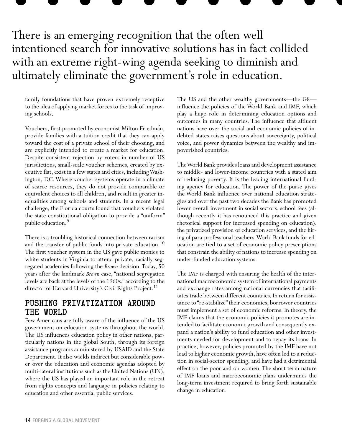# There is an emerging recognition that the often well intentioned search for innovative solutions has in fact collided with an extreme right-wing agenda seeking to diminish and ultimately eliminate the government's role in education.

family foundations that have proven extremely receptive to the idea of applying market forces to the task of improving schools.

Vouchers, first promoted by economist Milton Friedman, provide families with a tuition credit that they can apply toward the cost of a private school of their choosing, and are explicitly intended to create a market for education. Despite consistent rejection by voters in number of US jurisdictions, small-scale voucher schemes, created by executive fiat, exist in a few states and cities, including Washington, DC. Where voucher systems operate in a climate of scarce resources, they do not provide comparable or equivalent choices to all children, and result in greater inequalities among schools and students. In a recent legal challenge, the Florida courts found that vouchers violated the state constitutional obligation to provide a "uniform" public education.<sup>9</sup>

There is a troubling historical connection between racism and the transfer of public funds into private education.<sup>10</sup> The first voucher system in the US gave public monies to white students in Virginia to attend private, racially segregated academies following the *Brown* decision. Today, 50 years after the landmark *Brown* case, "national segregation levels are back at the levels of the 1960s," according to the director of Harvard University's Civil Rights Project.<sup>11</sup>

## Pushing Privatization around the World

Few Americans are fully aware of the influence of the US government on education systems throughout the world. The US influences education policy in other nations, particularly nations in the global South, through its foreign assistance programs administered by USAID and the State Department. It also wields indirect but considerable power over the education and economic agendas adopted by multi-lateral institutions such as the United Nations (UN), where the US has played an important role in the retreat from rights concepts and language in policies relating to education and other essential public services.

The US and the other wealthy governments—the G8 influence the policies of the World Bank and IMF, which play a huge role in determining education options and outcomes in many countries. The influence that affluent nations have over the social and economic policies of indebted states raises questions about sovereignty, political voice, and power dynamics between the wealthy and impoverished countries.

The World Bank provides loans and development assistance to middle- and lower-income countries with a stated aim of reducing poverty. It is the leading international funding agency for education. The power of the purse gives the World Bank influence over national education strategies and over the past two decades the Bank has promoted lower overall investment in social sectors, school fees (although recently it has renounced this practice and given rhetorical support for increased spending on education), the privatized provision of education services, and the hiring of para-professional teachers. World Bank funds for education are tied to a set of economic policy prescriptions that constrain the ability of nations to increase spending on under-funded education systems.

The IMF is charged with ensuring the health of the international macroeconomic system of international payments and exchange rates among national currencies that facilitates trade between different countries. In return for assistance to "re-stabilize" their economies, borrower countries must implement a set of economic reforms. In theory, the IMF claims that the economic policies it promotes are intended to facilitate economic growth and consequently expand a nation's ability to fund education and other investments needed for development and to repay its loans. In practice, however, policies promoted by the IMF have not lead to higher economic growth, have often led to a reduction in social-sector spending, and have had a detrimental effect on the poor and on women. The short term nature of IMF loans and macroeconomic plans undermines the long-term investment required to bring forth sustainable change in education.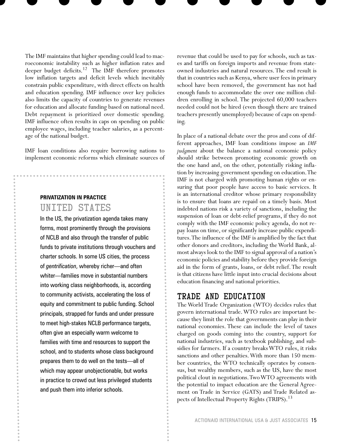The IMF maintains that higher spending could lead to macroeconomic instability such as higher inflation rates and deeper budget deficits.<sup>12</sup> The IMF therefore promotes low inflation targets and deficit levels which inevitably constrain public expenditure, with direct effects on health and education spending. IMF influence over key policies also limits the capacity of countries to generate revenues for education and allocate funding based on national need. Debt repayment is prioritized over domestic spending. IMF influence often results in caps on spending on public employee wages, including teacher salaries, as a percentage of the national budget.

IMF loan conditions also require borrowing nations to implement economic reforms which eliminate sources of

# **PRIVATIZATION IN PRACTICE** UNITED STATES

In the US, the privatization agenda takes many forms, most prominently through the provisions of NCLB and also through the transfer of public funds to private institutions through vouchers and charter schools. In some US cities, the process of *gentrification*, whereby richer—and often whiter—families move in substantial numbers into working class neighborhoods, is, according to community activists, accelerating the loss of equity and commitment to public funding. School principals, strapped for funds and under pressure to meet high-stakes NCLB performance targets, often give an especially warm welcome to families with time and resources to support the school, and to students whose class background prepares them to do well on the tests—all of which may appear unobjectionable, but works in practice to crowd out less privileged students and push them into inferior schools.

revenue that could be used to pay for schools, such as taxes and tariffs on foreign imports and revenue from stateowned industries and natural resources. The end result is that in countries such as Kenya, where user fees in primary school have been removed, the government has not had enough funds to accommodate the over one million children enrolling in school. The projected 60,000 teachers needed could not be hired (even though there are trained teachers presently unemployed) because of caps on spending.

In place of a national debate over the pros and cons of different approaches, IMF loan conditions impose an *IMF judgment* about the balance a national economic policy should strike between promoting economic growth on the one hand and, on the other, potentially risking inflation by increasing government spending on education. The IMF is not charged with promoting human rights or ensuring that poor people have access to basic services. It is an international creditor whose primary responsibility is to ensure that loans are repaid on a timely basis. Most indebted nations risk a variety of sanctions, including the suspension of loan or debt-relief programs, if they do not comply with the IMF economic policy agenda, do not repay loans on time, or significantly increase public expenditures. The influence of the IMF is amplified by the fact that other donors and creditors, including the World Bank, almost always look to the IMF to signal approval of a nation's economic policies and stability before they provide foreign aid in the form of grants, loans, or debt relief. The result is that citizens have little input into crucial decisions about education financing and national priorities.

## Trade and Education

The World Trade Organization (WTO) decides rules that govern international trade. WTO rules are important because they limit the role that governments can play in their national economies. These can include the level of taxes charged on goods coming into the country, support for national industries, such as textbook publishing, and subsidies for farmers. If a country breaks WTO rules, it risks sanctions and other penalties. With more than 150 member countries, the WTO technically operates by consensus, but wealthy members, such as the US, have the most political clout in negotiations. Two WTO agreements with the potential to impact education are the General Agreement on Trade in Service (GATS) and Trade Related aspects of Intellectual Property Rights (TRIPS).<sup>13</sup>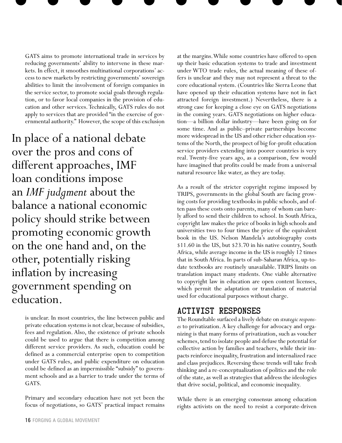GATS aims to promote international trade in services by reducing governments' ability to intervene in these markets. In effect, it smoothes multinational corporations' access to new markets by restricting governments' sovereign abilities to limit the involvement of foreign companies in the service sector, to promote social goals through regulation, or to favor local companies in the provision of education and other services. Technically, GATS rules do not apply to services that are provided "in the exercise of governmental authority." However, the scope of this exclusion

In place of a national debate over the pros and cons of different approaches, IMF loan conditions impose an *IMF judgment* about the balance a national economic policy should strike between promoting economic growth on the one hand and, on the other, potentially risking inflation by increasing government spending on education.

> is unclear. In most countries, the line between public and private education systems is not clear, because of subsidies, fees and regulation. Also, the existence of private schools could be used to argue that there is competition among different service providers. As such, education could be defined as a commercial enterprise open to competition under GATS rules, and public expenditure on education could be defined as an impermissible "subsidy" to government schools and as a barrier to trade under the terms of GATS.

> Primary and secondary education have not yet been the focus of negotiations, so GATS' practical impact remains

at the margins. While some countries have offered to open up their basic education systems to trade and investment under WTO trade rules, the actual meaning of these offers is unclear and they may not represent a threat to the core educational system. (Countries like Sierra Leone that have opened up their education systems have not in fact attracted foreign investment.) Nevertheless, there is a strong case for keeping a close eye on GATS negotiations in the coming years. GATS negotiations on higher education—a billion dollar industry—have been going on for some time. And as public–private partnerships become more widespread in the US and other richer education systems of the North, the prospect of big for-profit education service providers extending into poorer countries is very real. Twenty-five years ago, as a comparison, few would have imagined that profits could be made from a universal natural resource like water, as they are today.

As a result of the stricter copyright regime imposed by TRIPS, governments in the global South are facing growing costs for providing textbooks in public schools, and often pass these costs onto parents, many of whom can barely afford to send their children to school. In South Africa, copyright law makes the price of books in high schools and universities two to four times the price of the equivalent book in the US. Nelson Mandela's autobiography costs \$11.60 in the US, but \$23.70 in his native country, South Africa, while average income in the US is roughly 12 times that in South Africa. In parts of sub-Saharan Africa, up-todate textbooks are routinely unavailable. TRIPS limits on translation impact many students. One viable alternative to copyright law in education are open content licenses, which permit the adaptation or translation of material used for educational purposes without charge.

# Activist Responses

The Roundtable surfaced a lively debate on *strategic responses* to privatization. A key challenge for advocacy and organizing is that many forms of privatization, such as voucher schemes, tend to isolate people and defuse the potential for collective action by families and teachers, while their impacts reinforce inequality, frustration and internalized race and class prejudices. Reversing these trends will take fresh thinking and a re-conceptualization of politics and the role of the state, as well as strategies that address the ideologies that drive social, political, and economic inequality.

While there is an emerging consensus among education rights activists on the need to resist a corporate-driven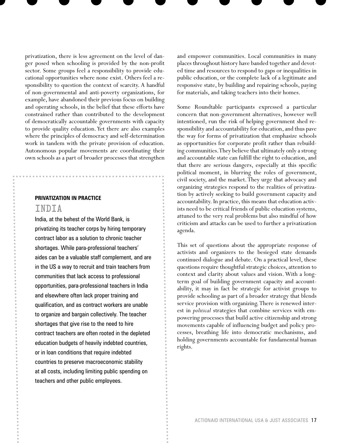privatization, there is less agreement on the level of danger posed when schooling is provided by the non-profit sector. Some groups feel a responsibility to provide educational opportunities where none exist. Others feel a responsibility to question the context of scarcity. A handful of non-governmental and anti-poverty organizations, for example, have abandoned their previous focus on building and operating schools, in the belief that these efforts have constrained rather than contributed to the development of democratically accountable governments with capacity to provide quality education. Yet there are also examples where the principles of democracy and self-determination work in tandem with the private provision of education. Autonomous popular movements are coordinating their own schools as a part of broader processes that strengthen

### **PRIVATIZATION IN PRACTICE**

### INDIA

India, at the behest of the World Bank, is privatizing its teacher corps by hiring temporary contract labor as a solution to chronic teacher shortages. While para-professional teachers' aides can be a valuable staff complement, and are in the US a way to recruit and train teachers from communities that lack access to professional opportunities, para-professional teachers in India and elsewhere often lack proper training and qualification, and as contract workers are unable to organize and bargain collectively. The teacher shortages that give rise to the need to hire contract teachers are often rooted in the depleted education budgets of heavily indebted countries, or in loan conditions that require indebted countries to preserve macroeconomic stability at all costs, including limiting public spending on teachers and other public employees.

and empower communities. Local communities in many places throughout history have banded together and devoted time and resources to respond to gaps or inequalities in public education, or the complete lack of a legitimate and responsive state, by building and repairing schools, paying for materials, and taking teachers into their homes.

Some Roundtable participants expressed a particular concern that non-government alternatives, however well intentioned, run the risk of helping government shed responsibility and accountability for education, and thus pave the way for forms of privatization that emphasize schools as opportunities for corporate profit rather than rebuilding communities. They believe that ultimately only a strong and accountable state can fulfill the right to education, and that there are serious dangers, especially at this specific political moment, in blurring the roles of government, civil society, and the market. They urge that advocacy and organizing strategies respond to the realities of privatization by actively seeking to build government capacity and accountability. In practice, this means that education activists need to be critical friends of public education systems, attuned to the very real problems but also mindful of how criticism and attacks can be used to further a privatization agenda.

This set of questions about the appropriate response of activists and organizers to the besieged state demands continued dialogue and debate. On a practical level, these questions require thoughtful strategic choices, attention to context and clarity about values and vision. With a longterm goal of building government capacity and accountability, it may in fact be strategic for activist groups to provide schooling as part of a broader strategy that blends service provision with organizing. There is renewed interest in *political* strategies that combine services with empowering processes that build active citizenship and strong movements capable of influencing budget and policy processes, breathing life into democratic mechanisms, and holding governments accountable for fundamental human rights.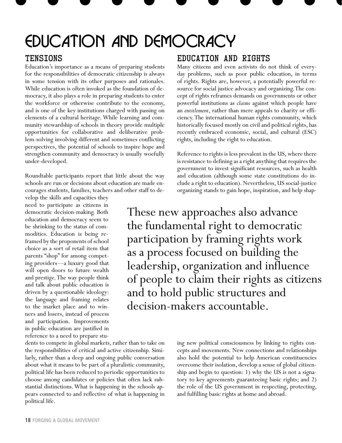# EDUCATION AND DEMOCRACY

## Tensions

Education's importance as a means of preparing students for the responsibilities of democratic citizenship is always in some tension with its other purposes and rationales. While education is often invoked as the foundation of democracy, it also plays a role in preparing students to enter the workforce or otherwise contribute to the economy, and is one of the key institutions charged with passing on elements of a cultural heritage. While learning and community stewardship of schools in theory provide multiple opportunities for collaborative and deliberative problem-solving involving different and sometimes conflicting perspectives, the potential of schools to inspire hope and strengthen community and democracy is usually woefully under-developed.

Roundtable participants report that little about the way schools are run or decisions about education are made encourages students, families, teachers and other staff to de-

velop the skills and capacities they need to participate as citizens in democratic decision-making. Both education and democracy seem to be shrinking to the status of commodities. Education is being reframed by the proponents of school choice as a sort of retail item that parents "shop" for among competing providers—a luxury good that will open doors to future wealth and prestige. The way people think and talk about public education is driven by a questionable ideology: the language and framing relates to the market place and to winners and losers, instead of process and participation. Improvements in public education are justified in reference to a need to prepare stu-

dents to compete in global markets, rather than to take on the responsibilities of critical and active citizenship. Similarly, rather than a deep and ongoing public conversation about what it means to be part of a pluralistic community, political life has been reduced to periodic opportunities to choose among candidates or policies that often lack substantial distinctions. What is happening in the schools appears connected to and reflective of what is happening in political life.

# Education and Rights

Many citizens and even activists do not think of everyday problems, such as poor public education, in terms of rights. Rights are, however, a potentially powerful resource for social justice advocacy and organizing. The concept of rights reframes demands on governments or other powerful institutions as *claims* against which people have an *entitlement*, rather than mere appeals to charity or efficiency. The international human rights community, which historically focused mostly on civil and political rights, has recently embraced economic, social, and cultural (ESC) rights, including the right to education.

Reference to rights is less prevalent in the US, where there is resistance to defining as a right anything that requires the government to invest significant resources, such as health and education (although some state constitutions do include a right to education). Nevertheless, US social-justice organizing stands to gain hope, inspiration, and help shap-

These new approaches also advance the fundamental right to democratic participation by framing rights work as a process focused on building the leadership, organization and influence of people to claim their rights as citizens and to hold public structures and decision-makers accountable.

> ing new political consciousness by linking to rights concepts and movements. New connections and relationships also hold the potential to help American constituencies overcome their isolation, develop a sense of global citizenship and begin to question: 1) why the US is not a signatory to key agreements guaranteeing basic rights; and 2) the role of the US government in respecting, protecting, and fulfilling basic rights at home and abroad.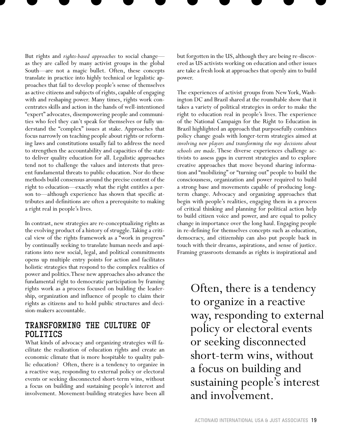But rights and *rights-based approaches* to social change as they are called by many activist groups in the global South—are not a magic bullet. Often, these concepts translate in practice into highly technical or legalistic approaches that fail to develop people's sense of themselves as active citizens and subjects of rights, capable of engaging with and reshaping power. Many times, rights work concentrates skills and action in the hands of well-intentioned "expert" advocates, disempowering people and communities who feel they can't speak for themselves or fully understand the "complex" issues at stake. Approaches that focus narrowly on teaching people about rights or reforming laws and constitutions usually fail to address the need to strengthen the accountability and capacities of the state to deliver quality education for all. Legalistic approaches tend not to challenge the values and interests that present fundamental threats to public education. Nor do these methods build consensus around the precise content of the right to education—exactly what the right entitles a person to—although experience has shown that specific attributes and definitions are often a prerequisite to making a right real in people's lives.

In contrast, new strategies are re-conceptualizing rights as the evolving product of a history of struggle. Taking a critical view of the rights framework as a "work in progress" by continually seeking to translate human needs and aspirations into new social, legal, and political commitments opens up multiple entry points for action and facilitates holistic strategies that respond to the complex realities of power and politics. These new approaches also advance the fundamental right to democratic participation by framing rights work as a process focused on building the leadership, organization and influence of people to claim their rights as citizens and to hold public structures and decision-makers accountable.

# Transforming the Culture of Politics

What kinds of advocacy and organizing strategies will facilitate the realization of education rights and create an economic climate that is more hospitable to quality public education? Often, there is a tendency to organize in a reactive way, responding to external policy or electoral events or seeking disconnected short-term wins, without a focus on building and sustaining people's interest and involvement. Movement-building strategies have been all but forgotten in the US, although they are being re-discovered as US activists working on education and other issues are take a fresh look at approaches that openly aim to build power.

The experiences of activist groups from New York, Washington DC and Brazil shared at the roundtable show that it takes a variety of political strategies in order to make the right to education real in people's lives. The experience of the National Campaign for the Right to Education in Brazil highlighted an approach that purposefully combines policy change goals with longer-term strategies aimed at *involving new players and transforming the way decisions about schools are made*. These diverse experiences challenge activists to assess gaps in current strategies and to explore creative approaches that move beyond sharing information and "mobilizing" or "turning out" people to build the consciousness, organization and power required to build a strong base and movements capable of producing longterm change. Advocacy and organizing approaches that begin with people's realities, engaging them in a process of critical thinking and planning for political action help to build citizen voice and power, and are equal to policy change in importance over the long haul. Engaging people in re-defining for themselves concepts such as education, democracy, and citizenship can also put people back in touch with their dreams, aspirations, and sense of justice. Framing grassroots demands as rights is inspirational and

Often, there is a tendency to organize in a reactive way, responding to external policy or electoral events or seeking disconnected short-term wins, without a focus on building and sustaining people's interest and involvement.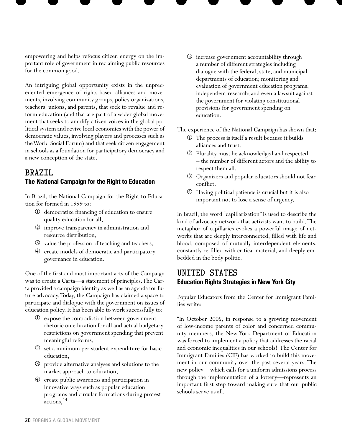empowering and helps refocus citizen energy on the important role of government in reclaiming public resources for the common good.

An intriguing global opportunity exists in the unprecedented emergence of rights-based alliances and movements, involving community groups, policy organizations, teachers' unions, and parents, that seek to revalue and reform education (and that are part of a wider global movement that seeks to amplify citizen voices in the global political system and revive local economies with the power of democratic values, involving players and processes such as the World Social Forum) and that seek citizen engagement in schools as a foundation for participatory democracy and a new conception of the state.

## BRAZIL **The National Campaign for the Right to Education**

In Brazil, the National Campaign for the Right to Education for formed in 1999 to:

- democratize financing of education to ensure quality education for all,
- improve transparency in administration and resource distribution,
- value the profession of teaching and teachers,
- create models of democratic and participatory governance in education.

One of the first and most important acts of the Campaign was to create a Carta—a statement of principles. The Carta provided a campaign identity as well as an agenda for future advocacy. Today, the Campaign has claimed a space to participate and dialogue with the government on issues of education policy. It has been able to work successfully to:

- expose the contradiction between government rhetoric on education for all and actual budgetary restrictions on government spending that prevent meaningful reforms,
- set a minimum per student expenditure for basic education,
- provide alternative analyses and solutions to the market approach to education,
- create public awareness and participation in innovative ways such as popular education programs and circular formations during protest actions, <sup>14</sup>

 increase government accountability through a number of different strategies including dialogue with the federal, state, and municipal departments of education; monitoring and evaluation of government education programs; independent research; and even a lawsuit against the government for violating constitutional provisions for government spending on education.

The experience of the National Campaign has shown that:

- The process is itself a result because it builds alliances and trust.
- Plurality must be acknowledged and respected – the number of different actors and the ability to respect them all.
- Organizers and popular educators should not fear conflict.
- Having political patience is crucial but it is also important not to lose a sense of urgency.

In Brazil, the word "capillarization" is used to describe the kind of advocacy network that activists want to build. The metaphor of capillaries evokes a powerful image of networks that are deeply interconnected, filled with life and blood, composed of mutually interdependent elements, constantly re-filled with critical material, and deeply embedded in the body politic.

## UNITED STATES **Education Rights Strategies in New York City**

Popular Educators from the Center for Immigrant Families write:

"In October 2005, in response to a growing movement of low-income parents of color and concerned community members, the New York Department of Education was forced to implement a policy that addresses the racial and economic inequalities in our schools! The Center for Immigrant Families (CIF) has worked to build this movement in our community over the past several years. The new policy—which calls for a uniform admissions process through the implementation of a lottery—represents an important first step toward making sure that our public schools serve us all.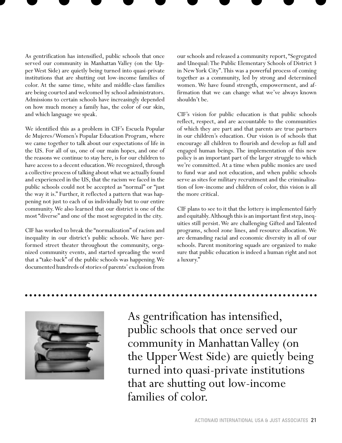As gentrification has intensified, public schools that once served our community in Manhattan Valley (on the Upper West Side) are quietly being turned into quasi-private institutions that are shutting out low-income families of color. At the same time, white and middle-class families are being courted and welcomed by school administrators. Admissions to certain schools have increasingly depended on how much money a family has, the color of our skin, and which language we speak.

We identified this as a problem in CIF's Escuela Popular de Mujeres/Women's Popular Education Program, where we came together to talk about our expectations of life in the US. For all of us, one of our main hopes, and one of the reasons we continue to stay here, is for our children to have access to a decent education. We recognized, through a collective process of talking about what we actually found and experienced in the US, that the racism we faced in the public schools could not be accepted as "normal" or "just the way it is." Further, it reflected a pattern that was happening not just to each of us individually but to our entire community. We also learned that our district is one of the most "diverse" and one of the most segregated in the city.

CIF has worked to break the "normalization" of racism and inequality in our district's public schools. We have performed street theater throughout the community, organized community events, and started spreading the word that a "take-back" of the public schools was happening. We documented hundreds of stories of parents' exclusion from

our schools and released a community report, "Segregated and Unequal: The Public Elementary Schools of District 3 in New York City". This was a powerful process of coming together as a community, led by strong and determined women. We have found strength, empowerment, and affirmation that we can change what we've always known shouldn't be.

CIF's vision for public education is that public schools reflect, respect, and are accountable to the communities of which they are part and that parents are true partners in our children's education. Our vision is of schools that encourage all children to flourish and develop as full and engaged human beings. The implementation of this new policy is an important part of the larger struggle to which we're committed. At a time when public monies are used to fund war and not education, and when public schools serve as sites for military recruitment and the criminalization of low-income and children of color, this vision is all the more critical.

CIF plans to see to it that the lottery is implemented fairly and equitably. Although this is an important first step, inequities still persist. We are challenging Gifted and Talented programs, school zone lines, and resource allocation. We are demanding racial and economic diversity in all of our schools. Parent monitoring squads are organized to make sure that public education is indeed a human right and not a luxury."



As gentrification has intensified, public schools that once served our community in Manhattan Valley (on the Upper West Side) are quietly being turned into quasi-private institutions that are shutting out low-income families of color.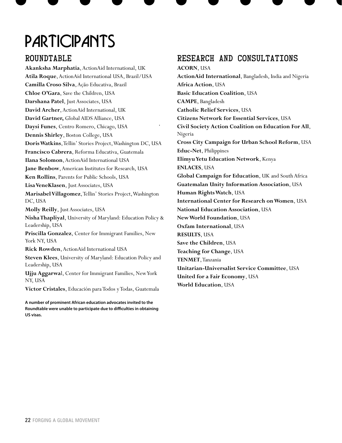# **PARTICIPANTS**

# ROUNDTABLE

**Akanksha Marphatia**, ActionAid International, UK **Atila Roque**, ActionAid International USA, Brazil/USA **Camilla Croso Silva**, Ação Educativa, Brazil **Chloe O'Gara**, Save the Children, USA **Darshana Patel**, Just Associates, USA **David Archer**, ActionAid International, UK **David Gartner,** Global AIDS Alliance, USA **Daysi Funes**, Centro Romero, Chicago, USA **Dennis Shirley**, Boston College, USA **Doris Watkins**, Tellin' Stories Project, Washington DC, USA **Francisco Cabrera**, Reforma Educativa, Guatemala **Ilana Solomon**, ActionAid International USA **Jane Benbow**, American Institutes for Research, USA **Ken Rollins**, Parents for Public Schools, USA **Lisa VeneKlasen**, Just Associates, USA **Marisabel Villagomez**, Tellin' Stories Project, Washington DC, USA **Molly Reilly**, Just Associates, USA **Nisha Thapliyal**, University of Maryland: Education Policy & Leadership, USA **Priscilla Gonzalez**, Center for Immigrant Families, New York NY, USA **Rick Rowden**, ActionAid International USA **Steven Klees**, University of Maryland: Education Policy and Leadership, USA **Ujju Aggarwa**l, Center for Immigrant Families, New York NY, USA **Victor Cristales**, Educación para Todos y Todas, Guatemala

**A number of prominent African education advocates invited to the Roundtable were unable to participate due to difficulties in obtaining US visas.**

# Research and Consultations

**ACORN**, USA **ActionAid International**, Bangladesh, India and Nigeria **Africa Action**, USA **Basic Education Coalition**, USA **CAMPE**, Bangladesh **Catholic Relief Services**, USA **Citizens Network for Essential Services**, USA **Civil Society Action Coalition on Education For All**, Nigeria **Cross City Campaign for Urban School Reform**, USA **Educ-Net**, Philippines **Elimyu Yetu Education Network**, Kenya **ENLACES**, USA **Global Campaign for Education**, UK and South Africa **Guatemalan Unity Information Association**, USA **Human Rights Watch**, USA **International Center for Research on Women**, USA **National Education Association**, USA **New World Foundation**, USA **Oxfam International**, USA **RESULTS**, USA **Save the Children**, USA **Teaching for Change**, USA **TENMET**, Tanzania **Unitarian-Universalist Service Committee**, USA **United for a Fair Economy**, USA **World Education**, USA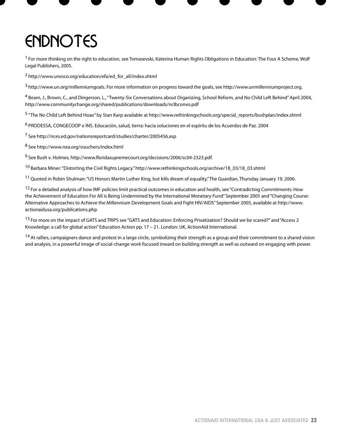# **ENDNOTES**

<sup>1</sup> For more thinking on the right to education, see Tomasevski, Katerina Human Rights Obligations in Education: The Four A Scheme, Wolf Legal Publishers, 2005.

2 http://www.unesco.org/education/efa/ed\_for\_all/index.shtml

<sup>3</sup> http://www.un.org/millenniumgoals. For more information on progress toward the goals, see http://www.unmillenniumproject.org.

4 Beam, J., Brown, C., and Dingerson, L., "Twenty-Six Conversations about Organizing, School Reform, and No Child Left Behind" April 2004, http://www.communitychange.org/shared/publications/downloads/nclbconvo.pdf

<sup>5</sup> "The No Child Left Behind Hoax" by Stan Karp available at http://www.rethinkingschools.org/special reports/bushplan/index.shtml

6 PRODESSA, CONGECOOP e INS. Educación, salud, tierra: hacia soluciones en el espíritu de los Acuerdos de Paz. 2004

7 See http://nces.ed.gov/nationsreportcard/studies/charter/2005456.asp

8 See http://www.nea.org/vouchers/index.html

<sup>9</sup> See Bush v. Holmes, http://www.floridasupremecourt.org/decisions/2006/sc04-2323.pdf.

<sup>10</sup> Barbara Miner: "Distorting the Civil Rights Legacy." http://www.rethinkingschools.org/archive/18\_03/18\_03.shtml

<sup>11</sup> Quoted in Robin Shulman: "US Honors Martin Luther King, but kills dream of equality," The Guardian, Thursday January 19, 2006.

 $12$  For a detailed analysis of how IMF policies limit practical outcomes in education and health, see "Contradicting Commitments: How the Achievement of Education For All is Being Undermined by the International Monetary Fund" September 2005 and "Changing Course: Alternative Approaches to Achieve the Millennium Development Goals and Fight HIV/AIDS" September 2005, available at http://www. actionaidusa.org/publications.php

<sup>13</sup> For more on the impact of GATS and TRIPS see "GATS and Education: Enforcing Privatization? Should we be scared?" and "Access 2 Knowledge: a call for global action" Education Action pp. 17 – 21. London: UK, ActionAid International.

<sup>14</sup> At rallies, campaigners dance and protest in a large circle, symbolizing their strength as a group and their commitment to a shared vision and analysis, in a powerful image of social-change work focused inward on building strength as well as outward on engaging with power.